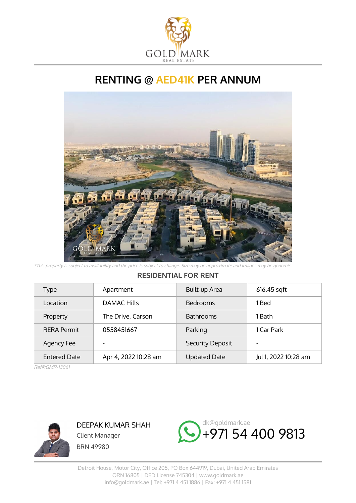

## **RENTING @ AED41K PER ANNUM**



\*This property is subject to availability and the price is subject to change. Size may be approximate and images may be genereic.

## **RESIDENTIAL FOR RENT**

| Type                | Apartment            | Built-up Area       | 616.45 sqft          |
|---------------------|----------------------|---------------------|----------------------|
| Location            | <b>DAMAC Hills</b>   | <b>Bedrooms</b>     | 1 Bed                |
| Property            | The Drive, Carson    | <b>Bathrooms</b>    | 1 Bath               |
| <b>RERA Permit</b>  | 0558451667           | Parking             | 1 Car Park           |
| Agency Fee          | -                    | Security Deposit    |                      |
| <b>Entered Date</b> | Apr 4, 2022 10:28 am | <b>Updated Date</b> | Jul 1, 2022 10:28 am |

Ref#:GMR-13061



DEEPAK KUMAR SHAH Client Manager BRN 49980

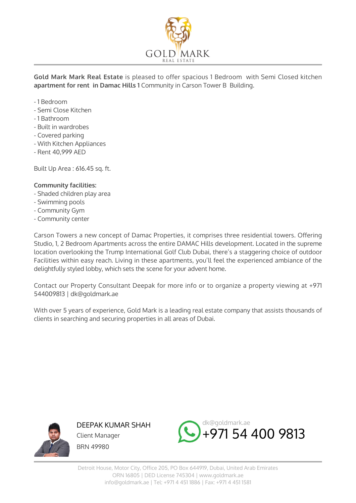

**Gold Mark Mark Real Estate** is pleased to offer spacious 1 Bedroom with Semi Closed kitchen **apartment for rent in Damac Hills 1** Community in Carson Tower B Building.

- 1 Bedroom
- Semi Close Kitchen
- 1 Bathroom
- Built in wardrobes
- Covered parking
- With Kitchen Appliances
- Rent 40,999 AED

Built Up Area : 616.45 sq. ft.

## **Community facilities:**

- Shaded children play area
- Swimming pools
- Community Gym
- Community center

Carson Towers a new concept of Damac Properties, it comprises three residential towers. Offering Studio, 1, 2 Bedroom Apartments across the entire DAMAC Hills development. Located in the supreme location overlooking the Trump International Golf Club Dubai, there's a staggering choice of outdoor Facilities within easy reach. Living in these apartments, you'll feel the experienced ambiance of the delightfully styled lobby, which sets the scene for your advent home.

Contact our Property Consultant Deepak for more info or to organize a property viewing at +971 544009813 | dk@goldmark.ae

With over 5 years of experience, Gold Mark is a leading real estate company that assists thousands of clients in searching and securing properties in all areas of Dubai.



DEEPAK KUMAR SHAH Client Manager BRN 49980